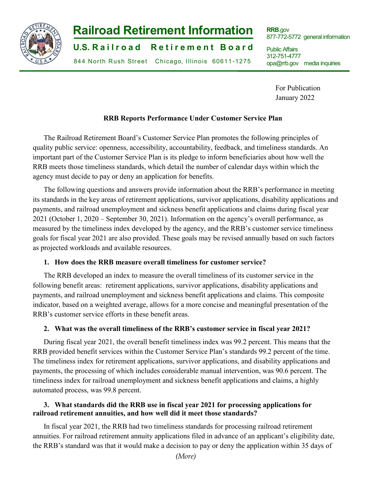

# **Railroad Retirement Information**

**U.S. R a i l r o a d R e t i r e m e n t B o a r d**

844 North Rush Street Chicago, Illinois 60611 -1275

**RRB**.gov 877-772-5772 general information

Public Affairs 312-751-4777 [opa@rrb.gov m](mailto:opa@rrb.gov)edia inquiries

> For Publication January 2022

# **RRB Reports Performance Under Customer Service Plan**

The Railroad Retirement Board's Customer Service Plan promotes the following principles of quality public service: openness, accessibility, accountability, feedback, and timeliness standards. An important part of the Customer Service Plan is its pledge to inform beneficiaries about how well the RRB meets those timeliness standards, which detail the number of calendar days within which the agency must decide to pay or deny an application for benefits.

The following questions and answers provide information about the RRB's performance in meeting its standards in the key areas of retirement applications, survivor applications, disability applications and payments, and railroad unemployment and sickness benefit applications and claims during fiscal year 2021 (October 1, 2020 – September 30, 2021). Information on the agency's overall performance, as measured by the timeliness index developed by the agency, and the RRB's customer service timeliness goals for fiscal year 2021 are also provided. These goals may be revised annually based on such factors as projected workloads and available resources.

# **1. How does the RRB measure overall timeliness for customer service?**

The RRB developed an index to measure the overall timeliness of its customer service in the following benefit areas: retirement applications, survivor applications, disability applications and payments, and railroad unemployment and sickness benefit applications and claims. This composite indicator, based on a weighted average, allows for a more concise and meaningful presentation of the RRB's customer service efforts in these benefit areas.

#### **2. What was the overall timeliness of the RRB's customer service in fiscal year 2021?**

During fiscal year 2021, the overall benefit timeliness index was 99.2 percent. This means that the RRB provided benefit services within the Customer Service Plan's standards 99.2 percent of the time. The timeliness index for retirement applications, survivor applications, and disability applications and payments, the processing of which includes considerable manual intervention, was 90.6 percent. The timeliness index for railroad unemployment and sickness benefit applications and claims, a highly automated process, was 99.8 percent.

# **3. What standards did the RRB use in fiscal year 2021 for processing applications for railroad retirement annuities, and how well did it meet those standards?**

In fiscal year 2021, the RRB had two timeliness standards for processing railroad retirement annuities. For railroad retirement annuity applications filed in advance of an applicant's eligibility date, the RRB's standard was that it would make a decision to pay or deny the application within 35 days of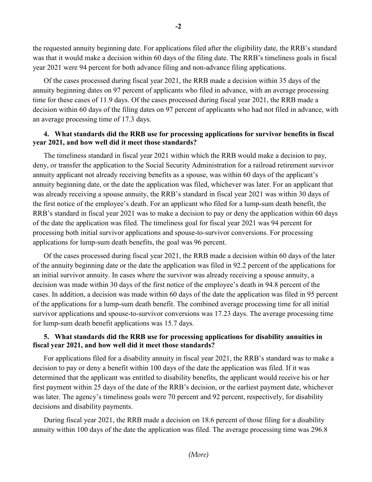the requested annuity beginning date. For applications filed after the eligibility date, the RRB's standard was that it would make a decision within 60 days of the filing date. The RRB's timeliness goals in fiscal year 2021 were 94 percent for both advance filing and non-advance filing applications.

Of the cases processed during fiscal year 2021, the RRB made a decision within 35 days of the annuity beginning dates on 97 percent of applicants who filed in advance, with an average processing time for these cases of 11.9 days. Of the cases processed during fiscal year 2021, the RRB made a decision within 60 days of the filing dates on 97 percent of applicants who had not filed in advance, with an average processing time of 17.3 days.

#### **4. What standards did the RRB use for processing applications for survivor benefits in fiscal year 2021, and how well did it meet those standards?**

The timeliness standard in fiscal year 2021 within which the RRB would make a decision to pay, deny, or transfer the application to the Social Security Administration for a railroad retirement survivor annuity applicant not already receiving benefits as a spouse, was within 60 days of the applicant's annuity beginning date, or the date the application was filed, whichever was later. For an applicant that was already receiving a spouse annuity, the RRB's standard in fiscal year 2021 was within 30 days of the first notice of the employee's death. For an applicant who filed for a lump-sum death benefit, the RRB's standard in fiscal year 2021 was to make a decision to pay or deny the application within 60 days of the date the application was filed. The timeliness goal for fiscal year 2021 was 94 percent for processing both initial survivor applications and spouse-to-survivor conversions. For processing applications for lump-sum death benefits, the goal was 96 percent.

Of the cases processed during fiscal year 2021, the RRB made a decision within 60 days of the later of the annuity beginning date or the date the application was filed in 92.2 percent of the applications for an initial survivor annuity. In cases where the survivor was already receiving a spouse annuity, a decision was made within 30 days of the first notice of the employee's death in 94.8 percent of the cases. In addition, a decision was made within 60 days of the date the application was filed in 95 percent of the applications for a lump-sum death benefit. The combined average processing time for all initial survivor applications and spouse-to-survivor conversions was 17.23 days. The average processing time for lump-sum death benefit applications was 15.7 days.

# **5. What standards did the RRB use for processing applications for disability annuities in fiscal year 2021, and how well did it meet those standards?**

For applications filed for a disability annuity in fiscal year 2021, the RRB's standard was to make a decision to pay or deny a benefit within 100 days of the date the application was filed. If it was determined that the applicant was entitled to disability benefits, the applicant would receive his or her first payment within 25 days of the date of the RRB's decision, or the earliest payment date, whichever was later. The agency's timeliness goals were 70 percent and 92 percent, respectively, for disability decisions and disability payments.

During fiscal year 2021, the RRB made a decision on 18.6 percent of those filing for a disability annuity within 100 days of the date the application was filed. The average processing time was 296.8